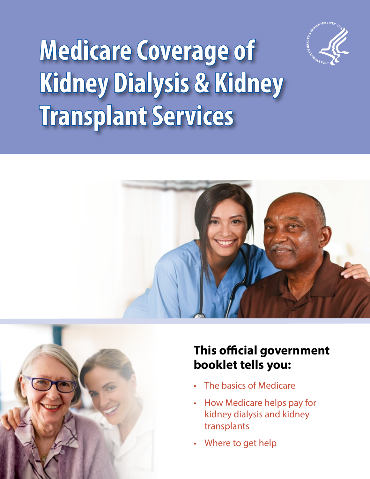

### **Medicare Coverage of Kidney Dialysis & Kidney Transplant Services**





#### **This official government booklet tells you:**

- The basics of Medicare
- How Medicare helps pay for kidney dialysis and kidney transplants
- Where to get help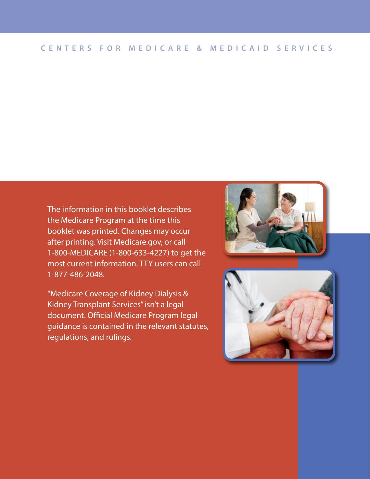The information in this booklet describes the Medicare Program at the time this booklet was printed. Changes may occur after printing. Visit [Medicare.gov](http://Medicare.gov), or call 1-800-MEDICARE (1-800-633-4227) to get the most current information. TTY users can call 1-877-486-2048.

"Medicare Coverage of Kidney Dialysis & Kidney Transplant Services" isn't a legal document. Official Medicare Program legal guidance is contained in the relevant statutes, regulations, and rulings.



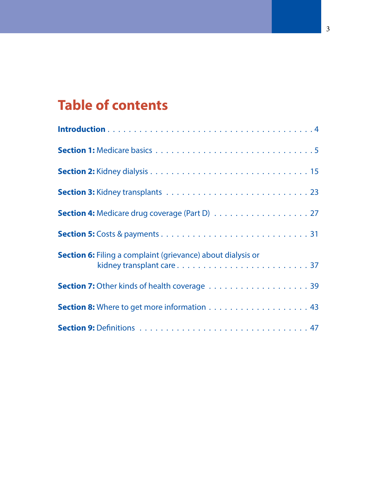#### **Table of contents**

| <b>Section 6:</b> Filing a complaint (grievance) about dialysis or |
|--------------------------------------------------------------------|
|                                                                    |
|                                                                    |
|                                                                    |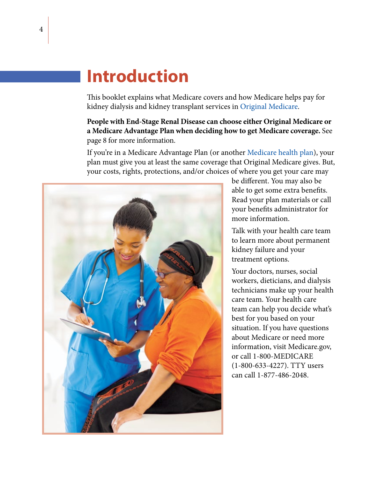#### <span id="page-3-0"></span>**Introduction**

This booklet explains what Medicare covers and how Medicare helps pay for kidney dialysis and kidney transplant services in [Original Medicare.](#page-48-0)

**People with End-Stage Renal Disease can choose either Original Medicare or a Medicare Advantage Plan when deciding how to get Medicare coverage.** [See](#page-7-0)  [page 8](#page-7-0) for more information.

If you're in a Medicare Advantage Plan (or another [Medicare health plan\)](#page-48-1), your plan must give you at least the same coverage that Original Medicare gives. But, your costs, rights, protections, and/or choices of where you get your care may



be different. You may also be able to get some extra benefits. Read your plan materials or call your benefits administrator for more information.

Talk with your health care team to learn more about permanent kidney failure and your treatment options.

Your doctors, nurses, social workers, dieticians, and dialysis technicians make up your health care team. Your health care team can help you decide what's best for you based on your situation. If you have questions about Medicare or need more information, visit [Medicare.gov,](http://Medicare.gov) or call 1-800-MEDICARE (1-800-633-4227). TTY users can call 1-877-486-2048.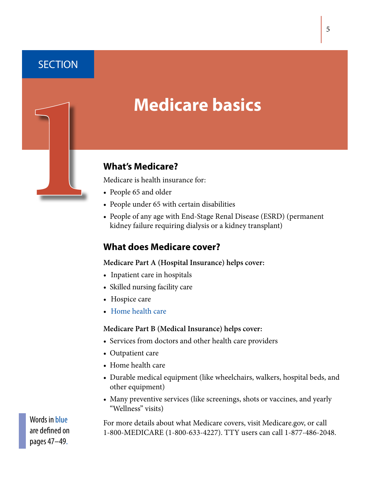#### <span id="page-4-0"></span>**SECTION**

# **11 <b>Medicare basics**<br> **11 Medicare?**<br> **11 Medicare?**<br> **11 Medicare?**<br> **11 Medicare?**<br> **11 Medicare?**<br> **11 Medicare** is health insurance for:<br> **11 People of any age with certain disabilities**<br> **12 People of any age with En**

#### **What's Medicare?**

Medicare is health insurance for:

- People 65 and older
- People under 65 with certain disabilities
- People of any age with End-Stage Renal Disease (ESRD) (permanent kidney failure requiring dialysis or a kidney transplant)

#### **What does Medicare cover?**

**Medicare Part A (Hospital Insurance) helps cover:**

- Inpatient care in hospitals
- Skilled nursing facility care
- Hospice care
- [Home health care](#page-47-0)

#### **Medicare Part B (Medical Insurance) helps cover:**

- Services from doctors and other health care providers
- Outpatient care
- Home health care
- Durable medical equipment (like wheelchairs, walkers, hospital beds, and other equipment)
- Many preventive services (like screenings, shots or vaccines, and yearly "Wellness" visits)

For more details about what Medicare covers, visit [Medicare.gov,](http://Medicare.gov) or call 1-800-MEDICARE (1-800-633-4227). TTY users can call 1-877-486-2048.

[Words in blue](#page-46-0) [are defined on](#page-46-0)  [pages 47–49.](#page-46-0)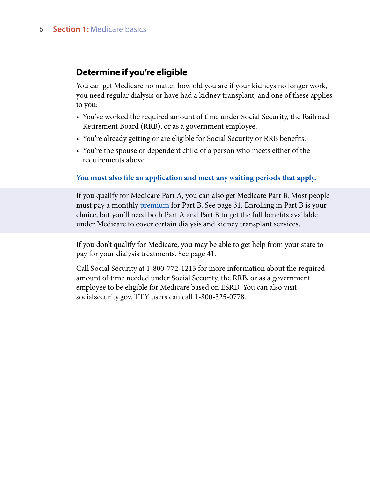#### **Determine if you're eligible**

You can get Medicare no matter how old you are if your kidneys no longer work, you need regular dialysis or have had a kidney transplant, and one of these applies to you:

- You've worked the required amount of time under Social Security, the Railroad Retirement Board (RRB), or as a government employee.
- You're already getting or are eligible for Social Security or RRB benefits.
- You're the spouse or dependent child of a person who meets either of the requirements above.

#### **You must also file an application and meet any waiting periods that apply.**

If you qualify for Medicare Part A, you can also get Medicare Part B. Most people must pay a monthly [premium](#page-48-2) for Part B. [See page 31.](#page-30-0) Enrolling in Part B is your choice, but you'll need both Part A and Part B to get the full benefits available under Medicare to cover certain dialysis and kidney transplant services.

If you don't qualify for Medicare, you may be able to get help from your state to pay for your dialysis treatments. [See page 41.](#page-40-0)

Call Social Security at 1-800-772-1213 for more information about the required amount of time needed under Social Security, the RRB, or as a government employee to be eligible for Medicare based on ESRD. You can also visit [socialsecurity.gov](https://www.ssa.gov/). TTY users can call 1-800-325-0778.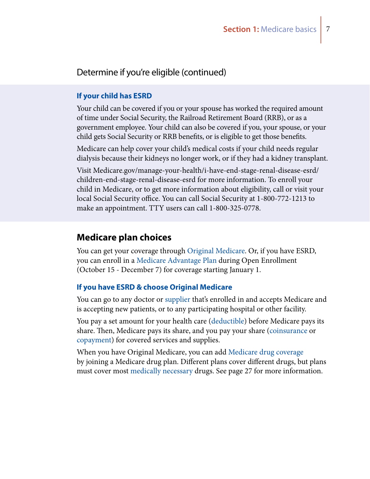#### <span id="page-6-0"></span>Determine if you're eligible (continued)

#### **If your child has ESRD**

Your child can be covered if you or your spouse has worked the required amount of time under Social Security, the Railroad Retirement Board (RRB), or as a government employee. Your child can also be covered if you, your spouse, or your child gets Social Security or RRB benefits, or is eligible to get those benefits.

Medicare can help cover your child's medical costs if your child needs regular dialysis because their kidneys no longer work, or if they had a kidney transplant.

Visit [Medicare.gov/manage-your-health/i-have-end-stage-renal-disease-esrd/](https://www.medicare.gov/manage-your-health/i-have-end-stage-renal-disease-esrd/children-end-stage-renal-disease-esrd) [children-end-stage-renal-disease-esrd](https://www.medicare.gov/manage-your-health/i-have-end-stage-renal-disease-esrd/children-end-stage-renal-disease-esrd) for more information. To enroll your child in Medicare, or to get more information about eligibility, call or visit your local Social Security office. You can call Social Security at 1-800-772-1213 to make an appointment. TTY users can call 1-800-325-0778.

#### **Medicare plan choices**

You can get your coverage through [Original Medicare](#page-48-0). Or, if you have ESRD, you can enroll in a [Medicare Advantage Plan](#page-47-1) during Open Enrollment (October 15 - December 7) for coverage starting January 1.

#### **If you have ESRD & choose Original Medicare**

You can go to any doctor or [supplier](#page-48-3) that's enrolled in and accepts Medicare and is accepting new patients, or to any participating hospital or other facility.

You pay a set amount for your health care ([deductible](#page-47-2)) before Medicare pays its share. Then, Medicare pays its share, and you pay your share [\(coinsurance](#page-46-1) or [copayment](#page-46-2)) for covered services and supplies.

When you have Original Medicare, you can add [Medicare drug coverage](#page-48-4)  by joining a Medicare drug plan. Different plans cover different drugs, but plans must cover most [medically necessary](#page-47-3) drugs. [See page 27](#page-26-0) for more information.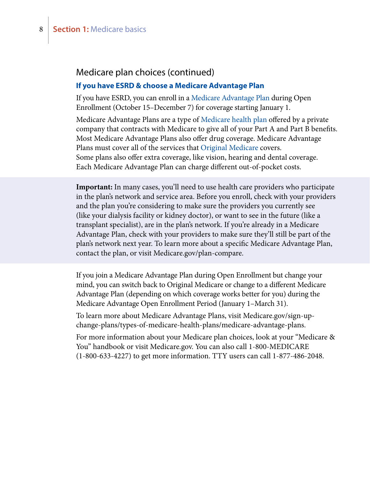#### <span id="page-7-0"></span>Medicare plan choices (continued)

#### **If you have ESRD & choose a Medicare Advantage Plan**

If you have ESRD, you can enroll in a [Medicare Advantage Plan](#page-47-1) during Open Enrollment (October 15–December 7) for coverage starting January 1.

Medicare Advantage Plans are a type of [Medicare health plan](#page-48-1) offered by a private company that contracts with Medicare to give all of your Part A and Part B benefits. Most Medicare Advantage Plans also offer drug coverage. Medicare Advantage Plans must cover all of the services that [Original Medicare](#page-48-0) covers. Some plans also offer extra coverage, like vision, hearing and dental coverage. Each Medicare Advantage Plan can charge different out-of-pocket costs.

**Important:** In many cases, you'll need to use health care providers who participate in the plan's network and service area. Before you enroll, check with your providers and the plan you're considering to make sure the providers you currently see (like your dialysis facility or kidney doctor), or want to see in the future (like a transplant specialist), are in the plan's network. If you're already in a Medicare Advantage Plan, check with your providers to make sure they'll still be part of the plan's network next year. To learn more about a specific Medicare Advantage Plan, contact the plan, or visit [Medicare.gov/plan-compare](http://Medicare.gov/plan-compare).

If you join a Medicare Advantage Plan during Open Enrollment but change your mind, you can switch back to Original Medicare or change to a different Medicare Advantage Plan (depending on which coverage works better for you) during the Medicare Advantage Open Enrollment Period (January 1–March 31).

To learn more about Medicare Advantage Plans, visit [Medicare.gov/sign-up](http://Medicare.gov/sign-up-change-plans/types-of-medicare-health-plans/medicare-advantage-plans)[change-plans/types-of-medicare-health-plans/medicare-advantage-plans](http://Medicare.gov/sign-up-change-plans/types-of-medicare-health-plans/medicare-advantage-plans).

For more information about your Medicare plan choices, look at your "Medicare & You" handbook or visit [Medicare.gov](http://Medicare.gov). You can also call 1-800-MEDICARE (1-800-633-4227) to get more information. TTY users can call 1-877-486-2048.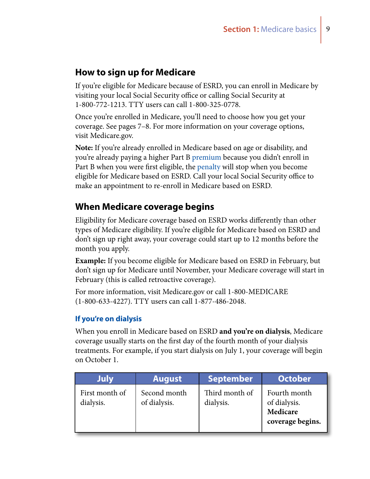#### <span id="page-8-0"></span>**How to sign up for Medicare**

If you're eligible for Medicare because of ESRD, you can enroll in Medicare by visiting your local Social Security office or calling Social Security at 1-800-772-1213. TTY users can call 1-800-325-0778.

Once you're enrolled in Medicare, you'll need to choose how you get your coverage. [See pages 7–8](#page-6-0). For more information on your coverage options, visit [Medicare.gov.](http://Medicare.gov)

**Note:** If you're already enrolled in Medicare based on age or disability, and you're already paying a higher Part B [premium](#page-48-2) because you didn't enroll in Part B when you were first eligible, the [penalty](#page-48-5) will stop when you become eligible for Medicare based on ESRD. Call your local Social Security office to make an appointment to re-enroll in Medicare based on ESRD.

#### **When Medicare coverage begins**

Eligibility for Medicare coverage based on ESRD works differently than other types of Medicare eligibility. If you're eligible for Medicare based on ESRD and don't sign up right away, your coverage could start up to 12 months before the month you apply.

**Example:** If you become eligible for Medicare based on ESRD in February, but don't sign up for Medicare until November, your Medicare coverage will start in February (this is called retroactive coverage).

For more information, visit [Medicare.gov](http://Medicare.gov) or call 1-800-MEDICARE (1-800-633-4227). TTY users can call 1-877-486-2048.

#### **If you're on dialysis**

When you enroll in Medicare based on ESRD **and you're on dialysis**, Medicare coverage usually starts on the first day of the fourth month of your dialysis treatments. For example, if you start dialysis on July 1, your coverage will begin on October 1.

| <b>July</b>                 | <b>August</b>                | <b>September</b>            | <b>October</b>                                               |
|-----------------------------|------------------------------|-----------------------------|--------------------------------------------------------------|
| First month of<br>dialysis. | Second month<br>of dialysis. | Third month of<br>dialysis. | Fourth month<br>of dialysis.<br>Medicare<br>coverage begins. |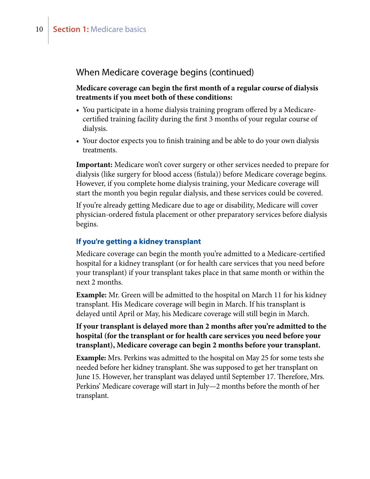#### <span id="page-9-0"></span>When Medicare coverage begins (continued)

#### **Medicare coverage can begin the first month of a regular course of dialysis treatments if you meet both of these conditions:**

- You participate in a home dialysis training program offered by a Medicarecertified training facility during the first 3 months of your regular course of dialysis.
- Your doctor expects you to finish training and be able to do your own dialysis treatments.

**Important:** Medicare won't cover surgery or other services needed to prepare for dialysis (like surgery for blood access (fistula)) before Medicare coverage begins. However, if you complete home dialysis training, your Medicare coverage will start the month you begin regular dialysis, and these services could be covered.

If you're already getting Medicare due to age or disability, Medicare will cover physician-ordered fistula placement or other preparatory services before dialysis begins.

#### **If you're getting a kidney transplant**

Medicare coverage can begin the month you're admitted to a Medicare-certified hospital for a kidney transplant (or for health care services that you need before your transplant) if your transplant takes place in that same month or within the next 2 months.

**Example:** Mr. Green will be admitted to the hospital on March 11 for his kidney transplant. His Medicare coverage will begin in March. If his transplant is delayed until April or May, his Medicare coverage will still begin in March.

#### **If your transplant is delayed more than 2 months after you're admitted to the hospital (for the transplant or for health care services you need before your transplant), Medicare coverage can begin 2 months before your transplant.**

**Example:** Mrs. Perkins was admitted to the hospital on May 25 for some tests she needed before her kidney transplant. She was supposed to get her transplant on June 15. However, her transplant was delayed until September 17. Therefore, Mrs. Perkins' Medicare coverage will start in July—2 months before the month of her transplant.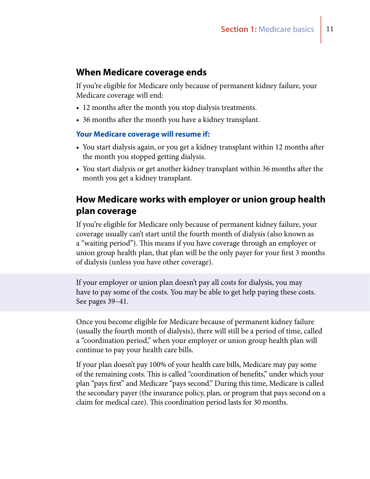#### **When Medicare coverage ends**

If you're eligible for Medicare only because of permanent kidney failure, your Medicare coverage will end:

- 12 months after the month you stop dialysis treatments.
- 36 months after the month you have a kidney transplant.

#### **Your Medicare coverage will resume if:**

- You start dialysis again, or you get a kidney transplant within 12 months after the month you stopped getting dialysis.
- You start dialysis or get another kidney transplant within 36 months after the month you get a kidney transplant.

#### **How Medicare works with employer or union group health plan coverage**

If you're eligible for Medicare only because of permanent kidney failure, your coverage usually can't start until the fourth month of dialysis (also known as a "waiting period"). This means if you have coverage through an employer or union group health plan, that plan will be the only payer for your first 3 months of dialysis (unless you have other coverage).

If your employer or union plan doesn't pay all costs for dialysis, you may have to pay some of the costs. You may be able to get help paying these costs. [See pages 39–41.](#page-38-0)

Once you become eligible for Medicare because of permanent kidney failure (usually the fourth month of dialysis), there will still be a period of time, called a "coordination period," when your employer or union group health plan will continue to pay your health care bills.

If your plan doesn't pay 100% of your health care bills, Medicare may pay some of the remaining costs. This is called "coordination of benefits," under which your plan "pays first" and Medicare "pays second." During this time, Medicare is called the secondary payer (the insurance policy, plan, or program that pays second on a claim for medical care). This coordination period lasts for 30 months.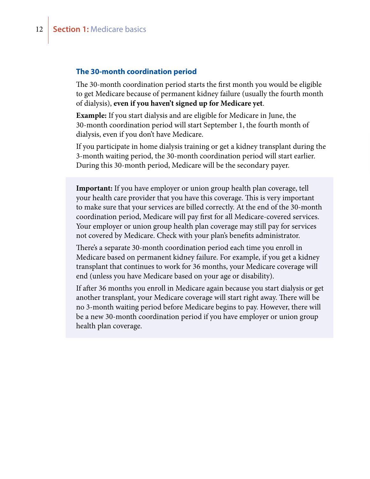#### <span id="page-11-0"></span>**The 30-month coordination period**

The 30-month coordination period starts the first month you would be eligible to get Medicare because of permanent kidney failure (usually the fourth month of dialysis), **even if you haven't signed up for Medicare yet**.

**Example:** If you start dialysis and are eligible for Medicare in June, the 30-month coordination period will start September 1, the fourth month of dialysis, even if you don't have Medicare.

If you participate in home dialysis training or get a kidney transplant during the 3-month waiting period, the 30-month coordination period will start earlier. During this 30-month period, Medicare will be the secondary payer.

**Important:** If you have employer or union group health plan coverage, tell your health care provider that you have this coverage. This is very important to make sure that your services are billed correctly. At the end of the 30-month coordination period, Medicare will pay first for all Medicare-covered services. Your employer or union group health plan coverage may still pay for services not covered by Medicare. Check with your plan's benefits administrator.

There's a separate 30-month coordination period each time you enroll in Medicare based on permanent kidney failure. For example, if you get a kidney transplant that continues to work for 36 months, your Medicare coverage will end (unless you have Medicare based on your age or disability).

If after 36 months you enroll in Medicare again because you start dialysis or get another transplant, your Medicare coverage will start right away. There will be no 3-month waiting period before Medicare begins to pay. However, there will be a new 30-month coordination period if you have employer or union group health plan coverage.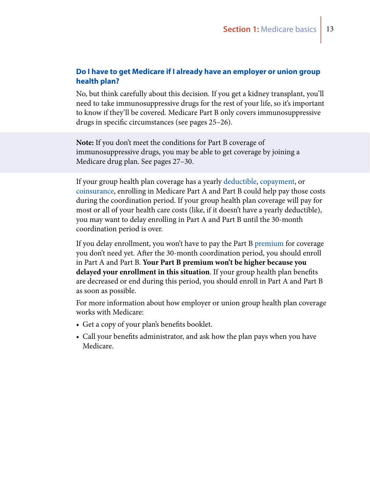#### **Do I have to get Medicare if I already have an employer or union group health plan?**

No, but think carefully about this decision. If you get a kidney transplant, you'll need to take immunosuppressive drugs for the rest of your life, so it's important to know if they'll be covered. Medicare Part B only covers immunosuppressive drugs in specific circumstances [\(see pages 25–26\).](#page-24-0)

**Note:** If you don't meet the conditions for Part B coverage of immunosuppressive drugs, you may be able to get coverage by joining a Medicare drug plan. [See pages 27–30.](#page-26-0)

If your group health plan coverage has a yearly [deductible](#page-47-2), [copayment,](#page-46-2) or [coinsurance](#page-46-1), enrolling in Medicare Part A and Part B could help pay those costs during the coordination period. If your group health plan coverage will pay for most or all of your health care costs (like, if it doesn't have a yearly deductible), you may want to delay enrolling in Part A and Part B until the 30-month coordination period is over.

If you delay enrollment, you won't have to pay the Part B [premium](#page-48-2) for coverage you don't need yet. After the 30-month coordination period, you should enroll in Part A and Part B. **Your Part B premium won't be higher because you delayed your enrollment in this situation**. If your group health plan benefits are decreased or end during this period, you should enroll in Part A and Part B as soon as possible.

For more information about how employer or union group health plan coverage works with Medicare:

- Get a copy of your plan's benefits booklet.
- Call your benefits administrator, and ask how the plan pays when you have Medicare.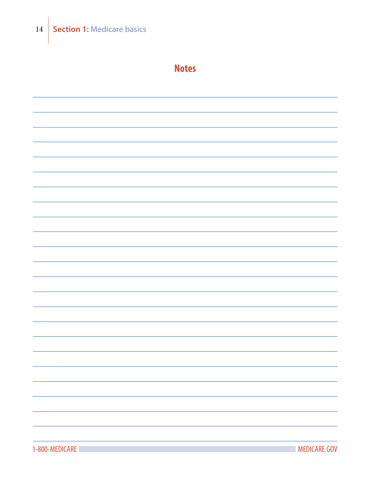#### **Notes**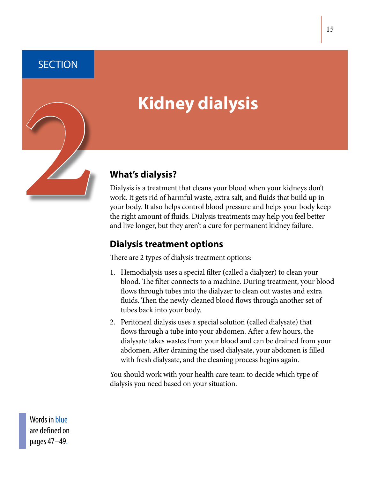#### <span id="page-14-0"></span>**SECTION**

#### **Kidney dialysis**



#### **What's dialysis?**

Dialysis is a treatment that cleans your blood when your kidneys don't work. It gets rid of harmful waste, extra salt, and fluids that build up in your body. It also helps control blood pressure and helps your body keep the right amount of fluids. Dialysis treatments may help you feel better and live longer, but they aren't a cure for permanent kidney failure.

#### **Dialysis treatment options**

There are 2 types of dialysis treatment options:

- 1. Hemodialysis uses a special filter (called a dialyzer) to clean your blood. The filter connects to a machine. During treatment, your blood flows through tubes into the dialyzer to clean out wastes and extra fluids. Then the newly-cleaned blood flows through another set of tubes back into your body.
- 2. Peritoneal dialysis uses a special solution (called dialysate) that flows through a tube into your abdomen. After a few hours, the dialysate takes wastes from your blood and can be drained from your abdomen. After draining the used dialysate, your abdomen is filled with fresh dialysate, and the cleaning process begins again.

You should work with your health care team to decide which type of dialysis you need based on your situation.

[Words in blue](#page-46-0) [are defined on](#page-46-0)  [pages 47–49.](#page-46-0)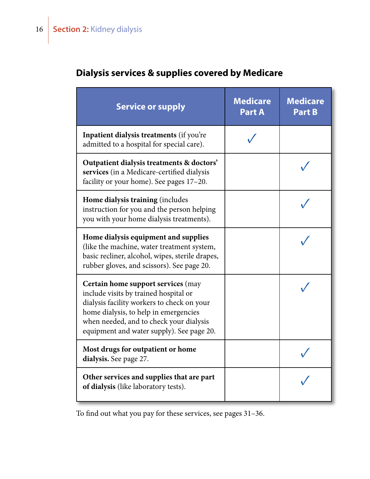#### <span id="page-15-0"></span>**Dialysis services & supplies covered by Medicare**

| <b>Service or supply</b>                                                                                                                                                                                                                                   | <b>Medicare</b><br><b>Part A</b> | <b>Medicare</b><br><b>Part B</b> |
|------------------------------------------------------------------------------------------------------------------------------------------------------------------------------------------------------------------------------------------------------------|----------------------------------|----------------------------------|
| Inpatient dialysis treatments (if you're<br>admitted to a hospital for special care).                                                                                                                                                                      |                                  |                                  |
| Outpatient dialysis treatments & doctors'<br>services (in a Medicare-certified dialysis<br>facility or your home). See pages 17-20.                                                                                                                        |                                  |                                  |
| Home dialysis training (includes<br>instruction for you and the person helping<br>you with your home dialysis treatments).                                                                                                                                 |                                  |                                  |
| Home dialysis equipment and supplies<br>(like the machine, water treatment system,<br>basic recliner, alcohol, wipes, sterile drapes,<br>rubber gloves, and scissors). See page 20.                                                                        |                                  |                                  |
| Certain home support services (may<br>include visits by trained hospital or<br>dialysis facility workers to check on your<br>home dialysis, to help in emergencies<br>when needed, and to check your dialysis<br>equipment and water supply). See page 20. |                                  |                                  |
| Most drugs for outpatient or home<br>dialysis. See page 27.                                                                                                                                                                                                |                                  |                                  |
| Other services and supplies that are part<br>of dialysis (like laboratory tests).                                                                                                                                                                          |                                  |                                  |

To find out what you pay for these services, [see pages 31–36](#page-30-0).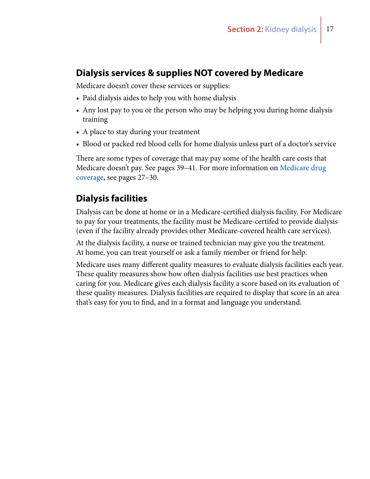#### <span id="page-16-0"></span>**Dialysis services & supplies NOT covered by Medicare**

Medicare doesn't cover these services or supplies:

- Paid dialysis aides to help you with home dialysis
- Any lost pay to you or the person who may be helping you during home dialysis training
- A place to stay during your treatment
- Blood or packed red blood cells for home dialysis unless part of a doctor's service

There are some types of coverage that may pay some of the health care costs tha[t](#page-48-4)  Medicare doesn't pay. [See pages 39–41.](#page-38-0) For more information on Medicare drug [coverage](#page-48-4)[, see pages 27–30.](#page-26-0)

#### **Dialysis facilities**

Dialysis can be done at home or in a Medicare-certified dialysis facility. For Medicare to pay for your treatments, the facility must be Medicare-certifed to provide dialysis (even if the facility already provides other Medicare-covered health care services).

At the dialysis facility, a nurse or trained technician may give you the treatment. At home, you can treat yourself or ask a family member or friend for help.

Medicare uses many different quality measures to evaluate dialysis facilities each year. These quality measures show how often dialysis facilities use best practices when caring for you. Medicare gives each dialysis facility a score based on its evaluation of these quality measures. Dialysis facilities are required to display that score in an area that's easy for you to find, and in a format and language you understand.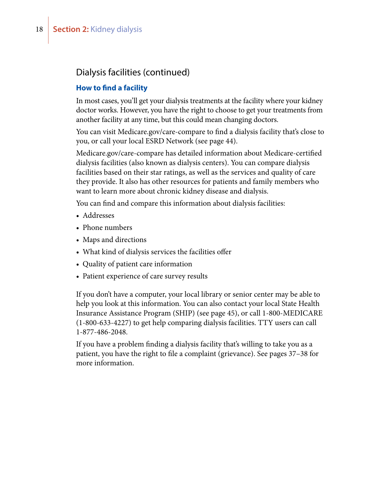#### Dialysis facilities (continued)

#### **How to find a facility**

In most cases, you'll get your dialysis treatments at the facility where your kidney doctor works. However, you have the right to choose to get your treatments from another facility at any time, but this could mean changing doctors.

You can visit [Medicare.gov/care-compare](http://Medicare.gov/care-compare) to find a dialysis facility that's close to you, or call your local ESRD Network ([see page 44](#page-43-0)).

[Medicare.gov/care-compare](http://Medicare.gov/care-compare) has detailed information about Medicare-certified dialysis facilities (also known as dialysis centers). You can compare dialysis facilities based on their star ratings, as well as the services and quality of care they provide. It also has other resources for patients and family members who want to learn more about chronic kidney disease and dialysis.

You can find and compare this information about dialysis facilities:

- Addresses
- Phone numbers
- Maps and directions
- What kind of dialysis services the facilities offer
- Quality of patient care information
- Patient experience of care survey results

If you don't have a computer, your local library or senior center may be able to help you look at this information. You can also contact your local State Health Insurance Assistance Program (SHIP) [\(see page 45\)](#page-44-0), or call 1-800-MEDICARE (1-800-633-4227) to get help comparing dialysis facilities. TTY users can call 1-877-486-2048.

If you have a problem finding a dialysis facility that's willing to take you as a patient, you have the right to file a complaint (grievance). [See pages 37–38](#page-36-0) for more information.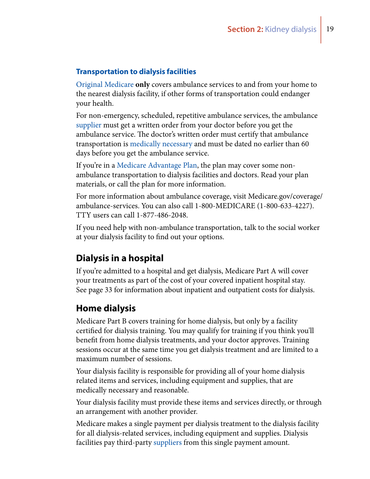#### **Transportation to dialysis facilities**

[Original Medicare](#page-48-0) **only** covers ambulance services to and from your home to the nearest dialysis facility, if other forms of transportation could endanger your health.

For non-emergency, scheduled, repetitive ambulance services, the ambulance [supplier](#page-48-3) must get a written order from your doctor before you get the ambulance service. The doctor's written order must certify that ambulance transportation is [medically necessary](#page-47-3) and must be dated no earlier than 60 days before you get the ambulance service.

If you're in a [Medicare Advantage Plan](#page-47-1), the plan may cover some nonambulance transportation to dialysis facilities and doctors. Read your plan materials, or call the plan for more information.

For more information about ambulance coverage, visit [Medicare.gov/coverage/](http://Medicare.gov/coverage/ambulance-services) [ambulance-services](http://Medicare.gov/coverage/ambulance-services). You can also call 1-800-MEDICARE (1-800-633-4227). TTY users can call 1-877-486-2048.

If you need help with non-ambulance transportation, talk to the social worker at your dialysis facility to find out your options.

#### **Dialysis in a hospital**

If you're admitted to a hospital and get dialysis, Medicare Part A will cover your treatments as part of the cost of your covered inpatient hospital stay. [See page 33](#page-32-0) for information about inpatient and outpatient costs for dialysis.

#### **Home dialysis**

Medicare Part B covers training for home dialysis, but only by a facility certified for dialysis training. You may qualify for training if you think you'll benefit from home dialysis treatments, and your doctor approves. Training sessions occur at the same time you get dialysis treatment and are limited to a maximum number of sessions.

Your dialysis facility is responsible for providing all of your home dialysis related items and services, including equipment and supplies, that are medically necessary and reasonable.

Your dialysis facility must provide these items and services directly, or through an arrangement with another provider.

Medicare makes a single payment per dialysis treatment to the dialysis facility for all dialysis-related services, including equipment and supplies. Dialysis facilities pay third-party [suppliers](#page-48-3) from this single payment amount.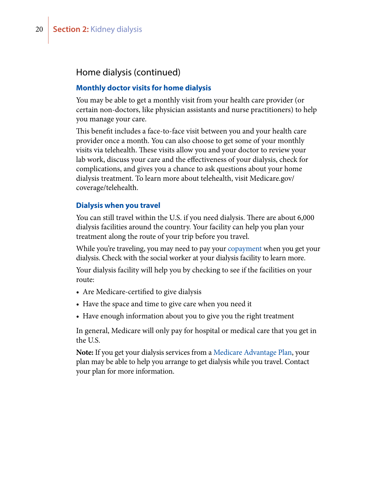#### <span id="page-19-0"></span>Home dialysis (continued)

#### **Monthly doctor visits for home dialysis**

You may be able to get a monthly visit from your health care provider (or certain non-doctors, like physician assistants and nurse practitioners) to help you manage your care.

This benefit includes a face-to-face visit between you and your health care provider once a month. You can also choose to get some of your monthly visits via telehealth. These visits allow you and your doctor to review your lab work, discuss your care and the effectiveness of your dialysis, check for complications, and gives you a chance to ask questions about your home dialysis treatment. To learn more about telehealth, visit [Medicare.gov/](https://www.medicare.gov/coverage/telehealth) [coverage/telehealth](https://www.medicare.gov/coverage/telehealth).

#### **Dialysis when you travel**

You can still travel within the U.S. if you need dialysis. There are about 6,000 dialysis facilities around the country. Your facility can help you plan your treatment along the route of your trip before you travel.

While you're traveling, you may need to pay your [copayment](#page-46-2) when you get your dialysis. Check with the social worker at your dialysis facility to learn more.

Your dialysis facility will help you by checking to see if the facilities on your route:

- Are Medicare-certified to give dialysis
- Have the space and time to give care when you need it
- Have enough information about you to give you the right treatment

In general, Medicare will only pay for hospital or medical care that you get in the U.S.

**Note:** If you get your dialysis services from a [Medicare Advantage Plan](#page-47-1), your plan may be able to help you arrange to get dialysis while you travel. Contact your plan for more information.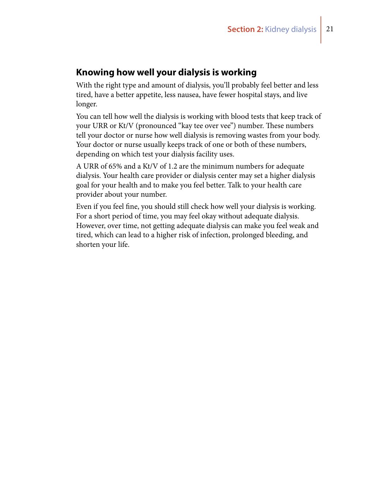#### **Knowing how well your dialysis is working**

With the right type and amount of dialysis, you'll probably feel better and less tired, have a better appetite, less nausea, have fewer hospital stays, and live longer.

You can tell how well the dialysis is working with blood tests that keep track of your URR or Kt/V (pronounced "kay tee over vee") number. These numbers tell your doctor or nurse how well dialysis is removing wastes from your body. Your doctor or nurse usually keeps track of one or both of these numbers, depending on which test your dialysis facility uses.

A URR of 65% and a Kt/V of 1.2 are the minimum numbers for adequate dialysis. Your health care provider or dialysis center may set a higher dialysis goal for your health and to make you feel better. Talk to your health care provider about your number.

Even if you feel fine, you should still check how well your dialysis is working. For a short period of time, you may feel okay without adequate dialysis. However, over time, not getting adequate dialysis can make you feel weak and tired, which can lead to a higher risk of infection, prolonged bleeding, and shorten your life.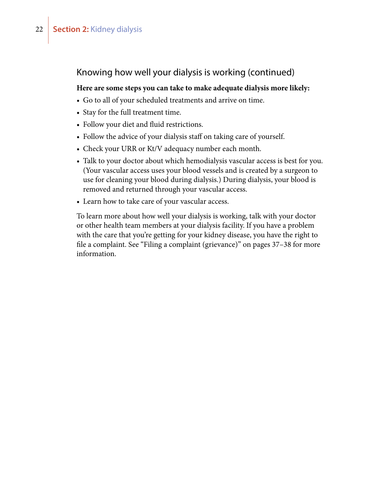#### Knowing how well your dialysis is working (continued)

#### **Here are some steps you can take to make adequate dialysis more likely:**

- Go to all of your scheduled treatments and arrive on time.
- Stay for the full treatment time.
- Follow your diet and fluid restrictions.
- Follow the advice of your dialysis staff on taking care of yourself.
- Check your URR or Kt/V adequacy number each month.
- Talk to your doctor about which hemodialysis vascular access is best for you. (Your vascular access uses your blood vessels and is created by a surgeon to use for cleaning your blood during dialysis.) During dialysis, your blood is removed and returned through your vascular access.
- Learn how to take care of your vascular access.

To learn more about how well your dialysis is working, talk with your doctor or other health team members at your dialysis facility. If you have a problem with the care that you're getting for your kidney disease, you have the right to file a complaint. See "Filing a complaint (grievance)" on [pages 37–38](#page-36-0) for more information.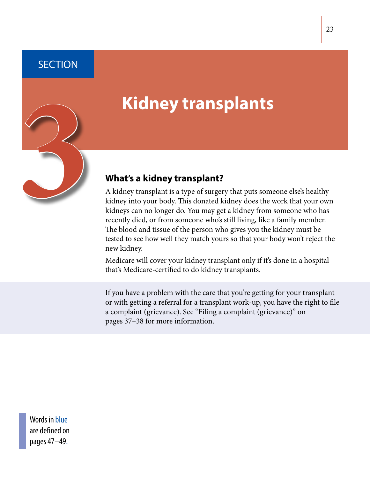#### <span id="page-22-0"></span>SECTION SECTION

#### **Kidney transplants**



A kidney transplant is a type of surgery that puts someone else's healthy kidney into your body. This donated kidney does the work that your own kidneys can no longer do. You may get a kidney from someone who has recently died, or from someone who's still living, like a family member. The blood and tissue of the person who gives you the kidney must be tested to see how well they match yours so that your body won't reject the new kidney.

Medicare will cover your kidney transplant only if it's done in a hospital that's Medicare-certified to do kidney transplants.

If you have a problem with the care that you're getting for your transplant or with getting a referral for a transplant work-up, you have the right to file a complaint (grievance). [See "Filing a complaint \(grievance\)" on](#page-36-0)  [pages 37–38](#page-36-0) for more information.

[Words in blue](#page-46-0) [are defined on](#page-46-0)  [pages 47–49.](#page-46-0)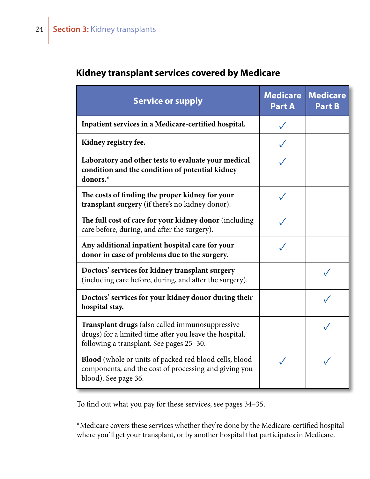#### **Kidney transplant services covered by Medicare**

| <b>Service or supply</b>                                                                                                                                      | <b>Medicare</b><br><b>Part A</b> | <b>Medicare</b><br><b>Part B</b> |
|---------------------------------------------------------------------------------------------------------------------------------------------------------------|----------------------------------|----------------------------------|
| Inpatient services in a Medicare-certified hospital.                                                                                                          | $\checkmark$                     |                                  |
| Kidney registry fee.                                                                                                                                          |                                  |                                  |
| Laboratory and other tests to evaluate your medical<br>condition and the condition of potential kidney<br>donors.*                                            |                                  |                                  |
| The costs of finding the proper kidney for your<br>transplant surgery (if there's no kidney donor).                                                           |                                  |                                  |
| The full cost of care for your kidney donor (including<br>care before, during, and after the surgery).                                                        |                                  |                                  |
| Any additional inpatient hospital care for your<br>donor in case of problems due to the surgery.                                                              |                                  |                                  |
| Doctors' services for kidney transplant surgery<br>(including care before, during, and after the surgery).                                                    |                                  |                                  |
| Doctors' services for your kidney donor during their<br>hospital stay.                                                                                        |                                  |                                  |
| <b>Transplant drugs</b> (also called immunosuppressive<br>drugs) for a limited time after you leave the hospital,<br>following a transplant. See pages 25–30. |                                  |                                  |
| Blood (whole or units of packed red blood cells, blood<br>components, and the cost of processing and giving you<br>blood). See page 36.                       |                                  |                                  |

To find out what you pay for these services, [see pages 34–35](#page-33-0).

\*Medicare covers these services whether they're done by the Medicare-certified hospital where you'll get your transplant, or by another hospital that participates in Medicare.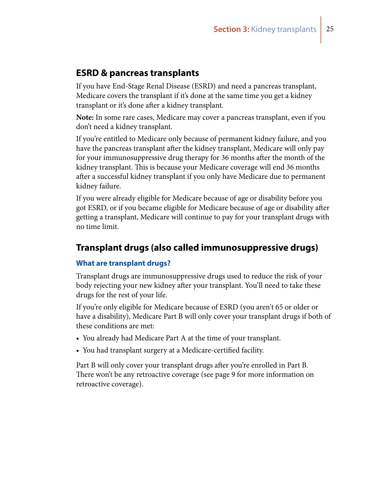#### <span id="page-24-0"></span>**ESRD & pancreas transplants**

If you have End-Stage Renal Disease (ESRD) and need a pancreas transplant, Medicare covers the transplant if it's done at the same time you get a kidney transplant or it's done after a kidney transplant.

**Note:** In some rare cases, Medicare may cover a pancreas transplant, even if you don't need a kidney transplant.

If you're entitled to Medicare only because of permanent kidney failure, and you have the pancreas transplant after the kidney transplant, Medicare will only pay for your immunosuppressive drug therapy for 36 months after the month of the kidney transplant. This is because your Medicare coverage will end 36 months after a successful kidney transplant if you only have Medicare due to permanent kidney failure.

If you were already eligible for Medicare because of age or disability before you got ESRD, or if you became eligible for Medicare because of age or disability after getting a transplant, Medicare will continue to pay for your transplant drugs with no time limit.

#### **Transplant drugs (also called immunosuppressive drugs)**

#### **What are transplant drugs?**

Transplant drugs are immunosuppressive drugs used to reduce the risk of your body rejecting your new kidney after your transplant. You'll need to take these drugs for the rest of your life.

If you're only eligible for Medicare because of ESRD (you aren't 65 or older or have a disability), Medicare Part B will only cover your transplant drugs if both of these conditions are met:

- You already had Medicare Part A at the time of your transplant.
- You had transplant surgery at a Medicare-certified facility.

Part B will only cover your transplant drugs after you're enrolled in Part B. There won't be any retroactive coverage [\(see page 9](#page-8-0) for more information on retroactive coverage).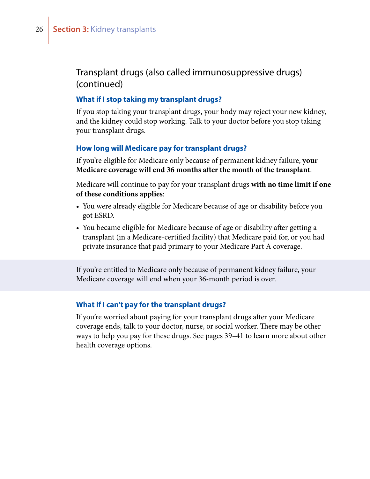#### Transplant drugs (also called immunosuppressive drugs) (continued)

#### **What if I stop taking my transplant drugs?**

If you stop taking your transplant drugs, your body may reject your new kidney, and the kidney could stop working. Talk to your doctor before you stop taking your transplant drugs.

#### **How long will Medicare pay for transplant drugs?**

If you're eligible for Medicare only because of permanent kidney failure, **your Medicare coverage will end 36 months after the month of the transplant**.

Medicare will continue to pay for your transplant drugs **with no time limit if one of these conditions applies**:

- You were already eligible for Medicare because of age or disability before you got ESRD.
- You became eligible for Medicare because of age or disability after getting a transplant (in a Medicare-certified facility) that Medicare paid for, or you had private insurance that paid primary to your Medicare Part A coverage.

If you're entitled to Medicare only because of permanent kidney failure, your Medicare coverage will end when your 36-month period is over.

#### **What if I can't pay for the transplant drugs?**

If you're worried about paying for your transplant drugs after your Medicare coverage ends, talk to your doctor, nurse, or social worker. There may be other ways to help you pay for these drugs. [See pages 39–41](#page-38-0) to learn more about other health coverage options.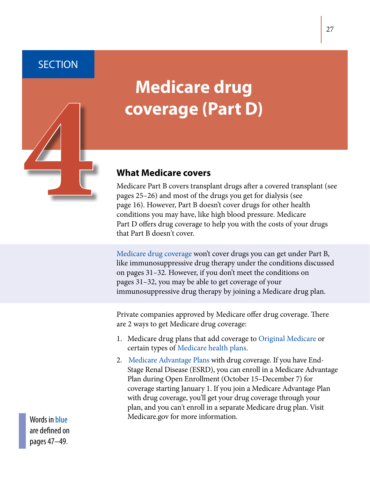#### <span id="page-26-0"></span>**SECTION**

# **Medicare drug**



Medicare Part B covers transplant drugs after a covered transplant [\(see](#page-24-0)  [pages 25–26\)](#page-24-0) and most of the drugs you get for dialysis [\(see](#page-15-0)  [page 16\).](#page-15-0) However, Part B doesn't cover drugs for other health conditions you may have, like high blood pressure. Medicare Part D offers drug coverage to help you with the costs of your drugs that Part B doesn't cover.

[Medicare drug coverage](#page-48-4) won't cover drugs you can get under Part B, like immunosuppressive drug therapy under the conditions discussed [on pages 31–32.](#page-30-0) However, if you don't meet the conditions [on](#page-30-0)  [pages 31–32](#page-30-0), you may be able to get coverage of your immunosuppressive drug therapy by joining a Medicare drug plan.

Private companies approved by Medicare offer drug coverage. There are 2 ways to get Medicare drug coverage:

- 1. Medicare drug plans that add coverage to [Original Medicare](#page-48-0) or certain types of [Medicare health plans.](#page-48-1)
- 2. [Medicare Advantage Plans](#page-47-1) with drug coverage. If you have End-Stage Renal Disease (ESRD), you can enroll in a Medicare Advantage Plan during Open Enrollment (October 15–December 7) for coverage starting January 1. If you join a Medicare Advantage Plan with drug coverage, you'll get your drug coverage through your plan, and you can't enroll in a separate Medicare drug plan. Visit [Medicare.gov](http://Medicare.gov) for more information.

[Words in blue](#page-46-0) [are defined on](#page-46-0)  [pages 47–49.](#page-46-0)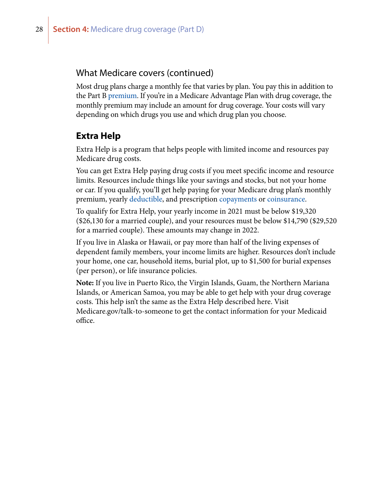#### What Medicare covers (continued)

Most drug plans charge a monthly fee that varies by plan. You pay this in addition to the Part B [premium.](#page-48-2) If you're in a Medicare Advantage Plan with drug coverage, the monthly premium may include an amount for drug coverage. Your costs will vary depending on which drugs you use and which drug plan you choose.

#### **Extra Help**

Extra Help is a program that helps people with limited income and resources pay Medicare drug costs.

You can get Extra Help paying drug costs if you meet specific income and resource limits. Resources include things like your savings and stocks, but not your home or car. If you qualify, you'll get help paying for your Medicare drug plan's monthly premium, yearly [deductible,](#page-47-2) and prescription [copayments](#page-46-2) or [coinsurance.](#page-46-1)

To qualify for Extra Help, your yearly income in 2021 must be below \$19,320 (\$26,130 for a married couple), and your resources must be below \$14,790 (\$29,520 for a married couple). These amounts may change in 2022.

If you live in Alaska or Hawaii, or pay more than half of the living expenses of dependent family members, your income limits are higher. Resources don't include your home, one car, household items, burial plot, up to \$1,500 for burial expenses (per person), or life insurance policies.

**Note:** If you live in Puerto Rico, the Virgin Islands, Guam, the Northern Mariana Islands, or American Samoa, you may be able to get help with your drug coverage costs. This help isn't the same as the Extra Help described here. Visit [Medicare.gov/talk-to-someone](http://Medicare.gov/talk-to-someone) to get the contact information for your Medicaid office.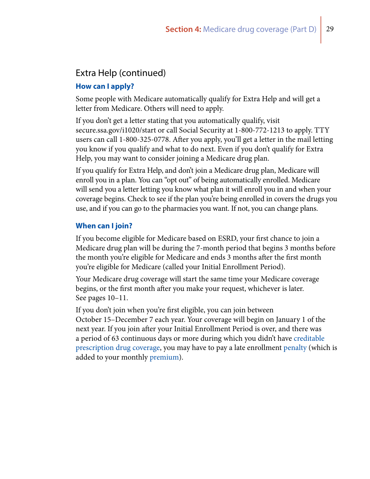#### Extra Help (continued)

#### **How can I apply?**

Some people with Medicare automatically qualify for Extra Help and will get a letter from Medicare. Others will need to apply.

If you don't get a letter stating that you automatically qualify, visit [secure.ssa.gov/i1020/start](https://secure.ssa.gov/i1020/start) or call Social Security at 1-800-772-1213 to apply. TTY users can call 1-800-325-0778. After you apply, you'll get a letter in the mail letting you know if you qualify and what to do next. Even if you don't qualify for Extra Help, you may want to consider joining a Medicare drug plan.

If you qualify for Extra Help, and don't join a Medicare drug plan, Medicare will enroll you in a plan. You can "opt out" of being automatically enrolled. Medicare will send you a letter letting you know what plan it will enroll you in and when your coverage begins. Check to see if the plan you're being enrolled in covers the drugs you use, and if you can go to the pharmacies you want. If not, you can change plans.

#### **When can I join?**

If you become eligible for Medicare based on ESRD, your first chance to join a Medicare drug plan will be during the 7-month period that begins 3 months before the month you're eligible for Medicare and ends 3 months after the first month you're eligible for Medicare (called your Initial Enrollment Period).

Your Medicare drug coverage will start the same time your Medicare coverage begins, or the first month after you make your request, whichever is later. [See pages 10–11](#page-9-0).

If you don't join when you're first eligible, you can join between October 15–December 7 each year. Your coverage will begin on January 1 of the next year. If you join after your Initial Enrollment Period is over, and there was a period of 63 continuous days or more during which you didn't have [creditable](#page-46-3)  [prescription drug coverage,](#page-46-3) you may have to pay a late enrollment [penalty](#page-48-5) (which is added to your monthly [premium](#page-48-2)).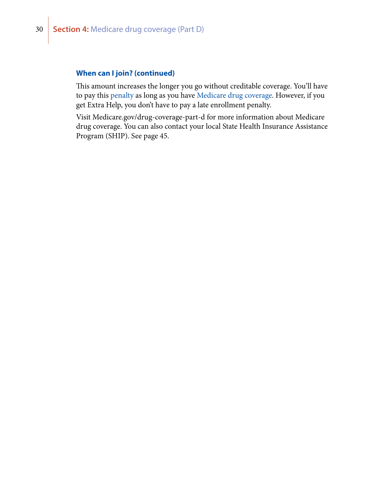#### **When can I join? (continued)**

This amount increases the longer you go without creditable coverage. You'll have to pay this [penalty](#page-48-5) as long as you have Medicare dru[g coverage](#page-48-4). However, if you get Extra Help, you don't have to pay a late enrollment penalty.

Visit [Medicare.gov/drug-coverage-part-d](http://Medicare.gov/drug-coverage-part-d) for more information about Medicare drug coverage. You can also contact your local State Health Insurance Assistance Program (SHIP). [See page 45](#page-44-0).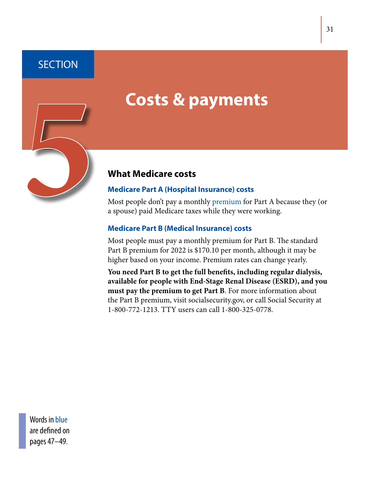#### <span id="page-30-0"></span>**SECTION**



#### **What Medicare costs**

#### **Medicare Part A (Hospital Insurance) costs**

Most people don't pay a monthly [premium](#page-48-2) for Part A because they (or a spouse) paid Medicare taxes while they were working.

#### **Medicare Part B (Medical Insurance) costs**

Most people must pay a monthly premium for Part B. The standard Part B premium for 2022 is \$170.10 per month, although it may be higher based on your income. Premium rates can change yearly.

**You need Part B to get the full benefits, including regular dialysis, available for people with End-Stage Renal Disease (ESRD), and you must pay the premium to get Part B**. For more information about the Part B premium, visit [socialsecurity.gov](https://www.ssa.gov/), or call Social Security at 1-800-772-1213. TTY users can call 1-800-325-0778.

[Words in blue](#page-46-0) [are defined on](#page-46-0)  [pages 47–49.](#page-46-0)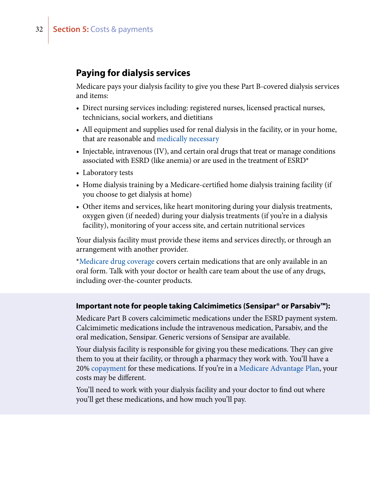#### **Paying for dialysis services**

Medicare pays your dialysis facility to give you these Part B-covered dialysis services and items:

- Direct nursing services including: registered nurses, licensed practical nurses, technicians, social workers, and dietitians
- All equipment and supplies used for renal dialysis in the facility, or in your home, that are reasonable and [medically necessary](#page-47-3)
- Injectable, intravenous (IV), and certain oral drugs that treat or manage conditions associated with ESRD (like anemia) or are used in the treatment of ESRD\*
- Laboratory tests
- Home dialysis training by a Medicare-certified home dialysis training facility (if you choose to get dialysis at home)
- Other items and services, like heart monitoring during your dialysis treatments, oxygen given (if needed) during your dialysis treatments (if you're in a dialysis facility), monitoring of your access site, and certain nutritional services

Your dialysis facility must provide these items and services directly, or through an arrangement with another provider.

[\\*Medicare drug coverage](#page-48-4) [c](#page-48-4)overs certain medications that are only available in an oral form. Talk with your doctor or health care team about the use of any drugs, including over-the-counter products.

#### **Important note for people taking Calcimimetics (Sensipar® or Parsabiv™):**

Medicare Part B covers calcimimetic medications under the ESRD payment system. Calcimimetic medications include the intravenous medication, Parsabiv, and the oral medication, Sensipar. Generic versions of Sensipar are available.

Your dialysis facility is responsible for giving you these medications. They can give them to you at their facility, or through a pharmacy they work with. You'll have a 20% [copayment](#page-46-2) for these medications. If you're in a [Medicare Advantage Plan,](#page-47-1) your costs may be different.

You'll need to work with your dialysis facility and your doctor to find out where you'll get these medications, and how much you'll pay.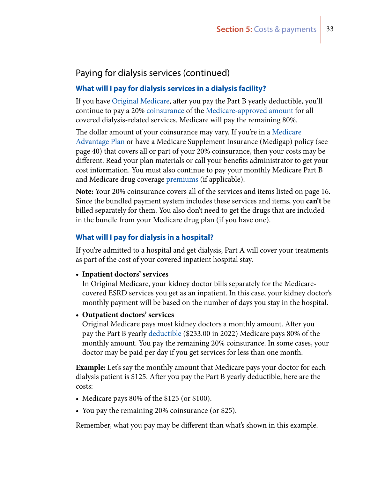#### <span id="page-32-0"></span>Paying for dialysis services (continued)

#### **What will I pay for dialysis services in a dialysis facility?**

If you have [Original Medicare](#page-48-0), after you pay the Part B yearly deductible, you'll continue to pay a 20% [coinsurance](#page-46-1) of the [Medicare-approved amount](#page-47-4) for all covered dialysis-related services. Medicare will pay the remaining 80%.

The dollar amount of your coinsurance may vary. If you're in a [Medicare](#page-47-1)  [Advantage Plan](#page-47-1) or have a Medicare Supplement Insurance (Medigap) policy ([see](#page-39-0)  [page 40\)](#page-39-0) that covers all or part of your 20% coinsurance, then your costs may be different. Read your plan materials or call your benefits administrator to get your cost information. You must also continue to pay your monthly Medicare Part B and Medicare drug coverage [premiums](#page-48-2) (if applicable).

**Note:** Your 20% coinsurance covers all of the services and items listed [on page 16](#page-15-0). Since the bundled payment system includes these services and items, you **can't** be billed separately for them. You also don't need to get the drugs that are included in the bundle from your Medicare drug plan (if you have one).

#### **What will I pay for dialysis in a hospital?**

If you're admitted to a hospital and get dialysis, Part A will cover your treatments as part of the cost of your covered inpatient hospital stay.

**• Inpatient doctors' services**

In Original Medicare, your kidney doctor bills separately for the Medicarecovered ESRD services you get as an inpatient. In this case, your kidney doctor's monthly payment will be based on the number of days you stay in the hospital.

**• Outpatient doctors' services**

Original Medicare pays most kidney doctors a monthly amount. After you pay the Part B yearly [deductible](#page-47-2) (\$233.00 in 2022) Medicare pays 80% of the monthly amount. You pay the remaining 20% coinsurance. In some cases, your doctor may be paid per day if you get services for less than one month.

**Example:** Let's say the monthly amount that Medicare pays your doctor for each dialysis patient is \$125. After you pay the Part B yearly deductible, here are the costs:

- Medicare pays 80% of the \$125 (or \$100).
- You pay the remaining 20% coinsurance (or \$25).

Remember, what you pay may be different than what's shown in this example.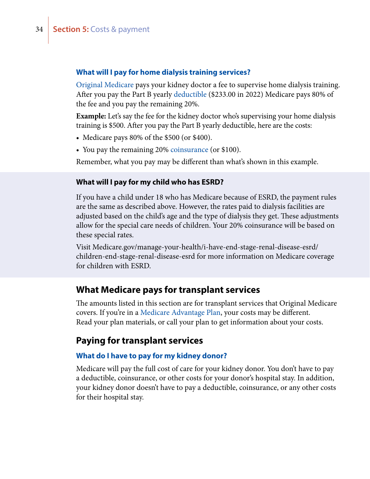#### <span id="page-33-0"></span>**What will I pay for home dialysis training services?**

[Original Medicare](#page-48-0) pays your kidney doctor a fee to supervise home dialysis training. After you pay the Part B yearly [deductible](#page-47-2) (\$233.00 in 2022) Medicare pays 80% of the fee and you pay the remaining 20%.

**Example:** Let's say the fee for the kidney doctor who's supervising your home dialysis training is \$500. After you pay the Part B yearly deductible, here are the costs:

- Medicare pays 80% of the \$500 (or \$400).
- You pay the remaining 20% [coinsurance](#page-46-1) (or \$100).

Remember, what you pay may be different than what's shown in this example.

#### **What will I pay for my child who has ESRD?**

If you have a child under 18 who has Medicare because of ESRD, the payment rules are the same as described above. However, the rates paid to dialysis facilities are adjusted based on the child's age and the type of dialysis they get. These adjustments allow for the special care needs of children. Your 20% coinsurance will be based on these special rates.

Visit [Medicare.gov/manage-your-health/i-have-end-stage-renal-disease-esrd/](https://www.medicare.gov/manage-your-health/i-have-end-stage-renal-disease-esrd/children-end-stage-renal-disease-esrd) [children-end-stage-renal-disease-esrd](https://www.medicare.gov/manage-your-health/i-have-end-stage-renal-disease-esrd/children-end-stage-renal-disease-esrd) for more information on Medicare coverage for children with ESRD.

#### **What Medicare pays for transplant services**

The amounts listed in this section are for transplant services that Original Medicare covers. If you're in a [Medicare Advantage Plan](#page-47-1), your costs may be different. Read your plan materials, or call your plan to get information about your costs.

#### **Paying for transplant services**

#### **What do I have to pay for my kidney donor?**

Medicare will pay the full cost of care for your kidney donor. You don't have to pay a deductible, coinsurance, or other costs for your donor's hospital stay. In addition, your kidney donor doesn't have to pay a deductible, coinsurance, or any other costs for their hospital stay.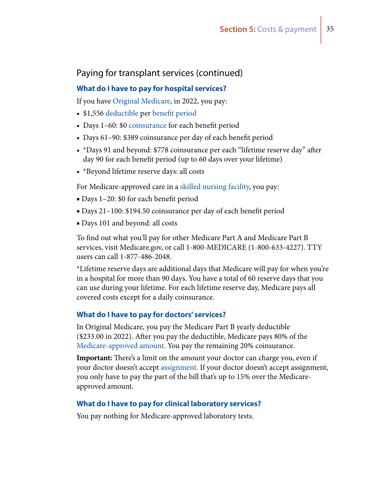#### Paying for transplant services (continued)

#### **What do I have to pay for hospital services?**

If you have [Original Medicare,](#page-48-0) in 2022, you pay:

- \$1,556 [deductible](#page-47-2) per [benefit period](#page-46-4)
- Days 1–60: \$0 [coinsurance](#page-46-1) for each benefit period
- Days 61–90: \$389 coinsurance per day of each benefit period
- \*Days 91 and beyond: \$778 coinsurance per each "lifetime reserve day" after day 90 for each benefit period (up to 60 days over your lifetime)
- \*Beyond lifetime reserve days: all costs

For Medicare-approved care in a [skilled nursing facility](#page-48-6), you pay:

- Days 1–20: \$0 for each benefit period
- Days 21–100: \$194.50 coinsurance per day of each benefit period
- Days 101 and beyond: all costs

To find out what you'll pay for other Medicare Part A and Medicare Part B services, visit [Medicare.gov,](http://Medicare.gov) or call 1-800-MEDICARE (1-800-633-4227). TTY users can call 1-877-486-2048.

\*Lifetime reserve days are additional days that Medicare will pay for when you're in a hospital for more than 90 days. You have a total of 60 reserve days that you can use during your lifetime. For each lifetime reserve day, Medicare pays all covered costs except for a daily coinsurance.

#### **What do I have to pay for doctors' services?**

In Original Medicare, you pay the Medicare Part B yearly deductible (\$233.00 in 2022). After you pay the deductible, Medicare pays 80% of the [Medicare-approved amount](#page-47-4). You pay the remaining 20% coinsurance.

**Important:** There's a limit on the amount your doctor can charge you, even if your doctor doesn't accept [assignment](#page-46-5). If your doctor doesn't accept assignment, you only have to pay the part of the bill that's up to 15% over the Medicareapproved amount.

#### **What do I have to pay for clinical laboratory services?**

You pay nothing for Medicare-approved laboratory tests.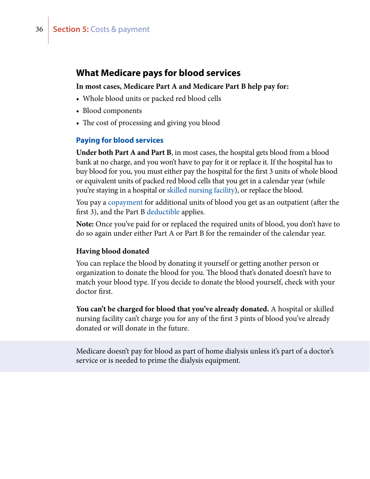#### <span id="page-35-0"></span>**What Medicare pays for blood services**

**In most cases, Medicare Part A and Medicare Part B help pay for:**

- Whole blood units or packed red blood cells
- Blood components
- The cost of processing and giving you blood

#### **Paying for blood services**

**Under both Part A and Part B**, in most cases, the hospital gets blood from a blood bank at no charge, and you won't have to pay for it or replace it. If the hospital has to buy blood for you, you must either pay the hospital for the first 3 units of whole blood or equivalent units of packed red blood cells that you get in a calendar year (while you're staying in a hospital or [skilled nursing facility](#page-48-6)), or replace the blood.

You pay a [copayment](#page-46-2) for additional units of blood you get as an outpatient (after the first 3), and the Part B [deductible](#page-47-2) applies.

**Note:** Once you've paid for or replaced the required units of blood, you don't have to do so again under either Part A or Part B for the remainder of the calendar year.

#### **Having blood donated**

You can replace the blood by donating it yourself or getting another person or organization to donate the blood for you. The blood that's donated doesn't have to match your blood type. If you decide to donate the blood yourself, check with your doctor first.

**You can't be charged for blood that you've already donated.** A hospital or skilled nursing facility can't charge you for any of the first 3 pints of blood you've already donated or will donate in the future.

Medicare doesn't pay for blood as part of home dialysis unless it's part of a doctor's service or is needed to prime the dialysis equipment.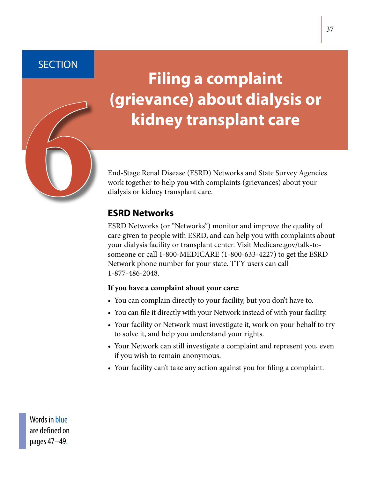#### <span id="page-36-0"></span>**SECTION**

# **Filing a complaint (grievance) about dialysis or kidney transplant care**<br> **kidney transplant care**<br> **66 End-Stage Renal Disease (ESRD) Networks and State Survey .<br>
Ford-Stage Renal Disease (ESRD) Networks and State Survey .<br>
<b>66 ESRD Networks**<br> **66 ESRD Networks** (or "N

End-Stage Renal Disease (ESRD) Networks and State Survey Agencies work together to help you with complaints (grievances) about your dialysis or kidney transplant care.

#### **ESRD Networks**

ESRD Networks (or "Networks") monitor and improve the quality of care given to people with ESRD, and can help you with complaints about your dialysis facility or transplant center. Visit [Medicare.gov/talk-to](http://Medicare.gov/talk-to-someone)[someone](http://Medicare.gov/talk-to-someone) or call 1-800-MEDICARE (1-800-633-4227) to get the ESRD Network phone number for your state. TTY users can call 1-877-486-2048.

#### **If you have a complaint about your care:**

- You can complain directly to your facility, but you don't have to.
- You can file it directly with your Network instead of with your facility.
- Your facility or Network must investigate it, work on your behalf to try to solve it, and help you understand your rights.
- Your Network can still investigate a complaint and represent you, even if you wish to remain anonymous.
- Your facility can't take any action against you for filing a complaint.

[Words in blue](#page-46-0) [are defined on](#page-46-0)  [pages 47–49.](#page-46-0)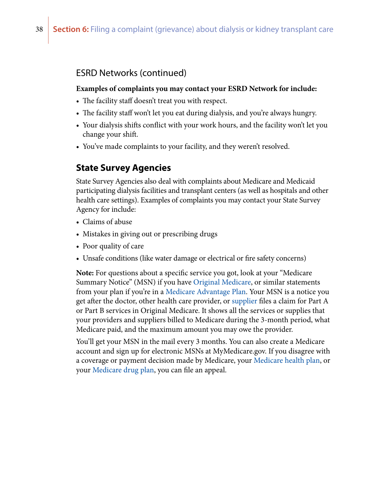#### ESRD Networks (continued)

#### **Examples of complaints you may contact your ESRD Network for include:**

- The facility staff doesn't treat you with respect.
- The facility staff won't let you eat during dialysis, and you're always hungry.
- Your dialysis shifts conflict with your work hours, and the facility won't let you change your shift.
- You've made complaints to your facility, and they weren't resolved.

#### **State Survey Agencies**

State Survey Agencies also deal with complaints about Medicare and Medicaid participating dialysis facilities and transplant centers (as well as hospitals and other health care settings). Examples of complaints you may contact your State Survey Agency for include:

- Claims of abuse
- Mistakes in giving out or prescribing drugs
- Poor quality of care
- Unsafe conditions (like water damage or electrical or fire safety concerns)

**Note:** For questions about a specific service you got, look at your "Medicare Summary Notice" (MSN) if you have [Original Medicare](#page-48-0), or similar statements from your plan if you're in a [Medicare Advantage Plan.](#page-47-1) Your MSN is a notice you get after the doctor, other health care provider, or [supplier](#page-48-3) files a claim for Part A or Part B services in Original Medicare. It shows all the services or supplies that your providers and suppliers billed to Medicare during the 3-month period, what Medicare paid, and the maximum amount you may owe the provider.

You'll get your MSN in the mail every 3 months. You can also create a Medicare account and sign up for electronic MSNs at [MyMedicare.gov](http://MyMedicare.gov). If you disagree with a coverage or payment decision made by Medicare, your [Medicare health plan](#page-48-1), or your [Medicare drug plan,](#page-48-4) you can file an appeal.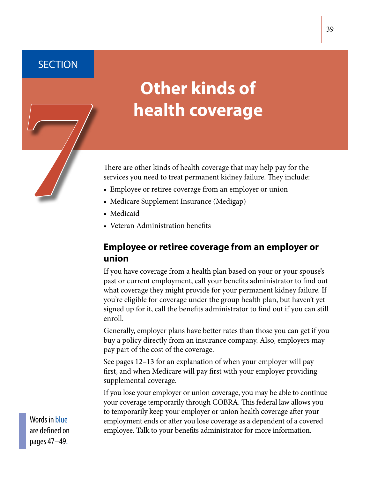#### <span id="page-38-0"></span>**SECTION**

**7**

#### **Other kinds of health coverage**



- Employee or retiree coverage from an employer or union
- Medicare Supplement Insurance (Medigap)
- Medicaid
- Veteran Administration benefits

#### **Employee or retiree coverage from an employer or union**

If you have coverage from a health plan based on your or your spouse's past or current employment, call your benefits administrator to find out what coverage they might provide for your permanent kidney failure. If you're eligible for coverage under the group health plan, but haven't yet signed up for it, call the benefits administrator to find out if you can still enroll.

Generally, employer plans have better rates than those you can get if you buy a policy directly from an insurance company. Also, employers may pay part of the cost of the coverage.

[See pages 12–13](#page-11-0) for an explanation of when your employer will pay first, and when Medicare will pay first with your employer providing supplemental coverage.

If you lose your employer or union coverage, you may be able to continue your coverage temporarily through COBRA. This federal law allows you to temporarily keep your employer or union health coverage after your employment ends or after you lose coverage as a dependent of a covered employee. Talk to your benefits administrator for more information.

[Words in blue](#page-46-0) [are defined on](#page-46-0)  [pages 47–49.](#page-46-0)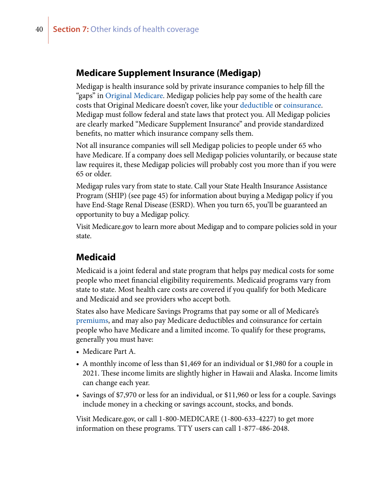#### <span id="page-39-0"></span>**Medicare Supplement Insurance (Medigap)**

Medigap is health insurance sold by private insurance companies to help fill the "gaps" in [Original Medicare.](#page-48-0) Medigap policies help pay some of the health care costs that Original Medicare doesn't cover, like your [deductible](#page-47-2) or [coinsurance.](#page-46-1) Medigap must follow federal and state laws that protect you. All Medigap policies are clearly marked "Medicare Supplement Insurance" and provide standardized benefits, no matter which insurance company sells them.

Not all insurance companies will sell Medigap policies to people under 65 who have Medicare. If a company does sell Medigap policies voluntarily, or because state law requires it, these Medigap policies will probably cost you more than if you were 65 or older.

Medigap rules vary from state to state. Call your State Health Insurance Assistance Program (SHIP) [\(see page 45\)](#page-44-0) for information about buying a Medigap policy if you have End-Stage Renal Disease (ESRD). When you turn 65, you'll be guaranteed an opportunity to buy a Medigap policy.

Visit [Medicare.gov](http://Medicare.gov) to learn more about Medigap and to compare policies sold in your state.

#### **Medicaid**

Medicaid is a joint federal and state program that helps pay medical costs for some people who meet financial eligibility requirements. Medicaid programs vary from state to state. Most health care costs are covered if you qualify for both Medicare and Medicaid and see providers who accept both.

States also have Medicare Savings Programs that pay some or all of Medicare's [premiums](#page-48-2), and may also pay Medicare deductibles and coinsurance for certain people who have Medicare and a limited income. To qualify for these programs, generally you must have:

- Medicare Part A.
- A monthly income of less than \$1,469 for an individual or \$1,980 for a couple in 2021. These income limits are slightly higher in Hawaii and Alaska. Income limits can change each year.
- Savings of \$7,970 or less for an individual, or \$11,960 or less for a couple. Savings include money in a checking or savings account, stocks, and bonds.

Visit [Medicare.gov,](http://Medicare.gov) or call 1-800-MEDICARE (1-800-633-4227) to get more information on these programs. TTY users can call 1-877-486-2048.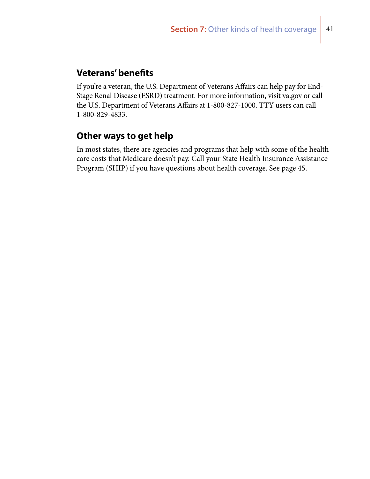#### <span id="page-40-0"></span>**Veterans' benefits**

If you're a veteran, the U.S. Department of Veterans Affairs can help pay for End-Stage Renal Disease (ESRD) treatment. For more information, visit [va.gov](http://va.gov) or call the U.S. Department of Veterans Affairs at 1-800-827-1000. TTY users can call 1-800-829-4833.

#### **Other ways to get help**

In most states, there are agencies and programs that help with some of the health care costs that Medicare doesn't pay. Call your State Health Insurance Assistance Program (SHIP) if you have questions about health coverage. [See page 45](#page-44-0).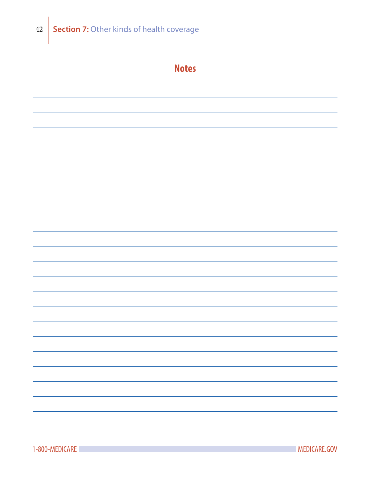#### **Notes**

1-800-MEDICARE MEDICARE MEDICARE MEDICARE.GOV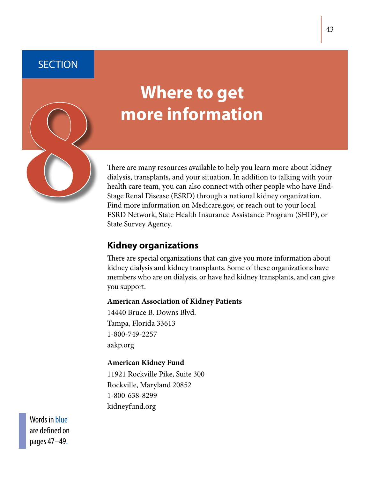#### <span id="page-42-0"></span>**SECTION**

## **more information**

**88 <b>More information of the Constant B**<br>**88 <b>Constant 8 Constant B**<br>**8 Constant B**<br>**8 Constant B**<br>**8 Constant B**<br>**8 Constant B**<br>**8 Constant B**<br>**8 Constant B**<br>**8 Constant B**<br>**8 Constan** There are many resources available to help you learn more about kidney dialysis, transplants, and your situation. In addition to talking with your health care team, you can also connect with other people who have End-Stage Renal Disease (ESRD) through a national kidney organization. Find more information on [Medicare.gov](http://Medicare.gov), or reach out to your local ESRD Network, State Health Insurance Assistance Program (SHIP), or State Survey Agency.

#### **Kidney organizations**

There are special organizations that can give you more information about kidney dialysis and kidney transplants. Some of these organizations have members who are on dialysis, or have had kidney transplants, and can give you support.

#### **American Association of Kidney Patients**

14440 Bruce B. Downs Blvd. Tampa, Florida 33613 1-800-749-2257 [aakp.org](http://aakp.org)

#### **American Kidney Fund**

11921 Rockville Pike, Suite 300 Rockville, Maryland 20852 1-800-638-8299 [kidneyfund.org](http://kidneyfund.org)

[Words in blue](#page-46-0) [are defined on](#page-46-0)  [pages 47–49.](#page-46-0)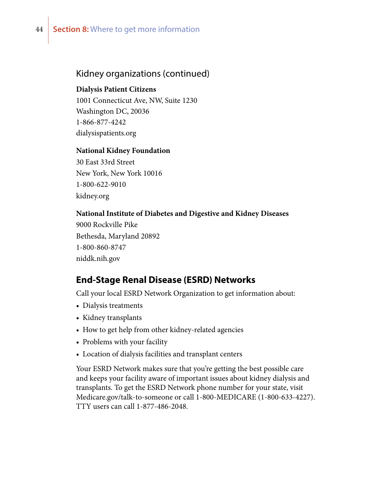#### <span id="page-43-0"></span>Kidney organizations (continued)

#### **Dialysis Patient Citizens**

1001 Connecticut Ave, NW, Suite 1230 Washington DC, 20036 1-866-877-4242 [dialysispatients.org](http://dialysispatients.org)

#### **National Kidney Foundation**

30 East 33rd Street New York, New York 10016 1-800-622-9010 [kidney.org](http://kidney.org)

#### **National Institute of Diabetes and Digestive and Kidney Diseases**

9000 Rockville Pike Bethesda, Maryland 20892 1-800-860-8747 [niddk.nih.gov](http://niddk.nih.gov)

#### **End-Stage Renal Disease (ESRD) Networks**

Call your local ESRD Network Organization to get information about:

- Dialysis treatments
- Kidney transplants
- How to get help from other kidney-related agencies
- Problems with your facility
- Location of dialysis facilities and transplant centers

Your ESRD Network makes sure that you're getting the best possible care and keeps your facility aware of important issues about kidney dialysis and transplants. To get the ESRD Network phone number for your state, visit [Medicare.gov/talk-to-someone](http://Medicare.gov/talk-to-someone) or call 1-800-MEDICARE (1-800-633-4227). TTY users can call 1-877-486-2048.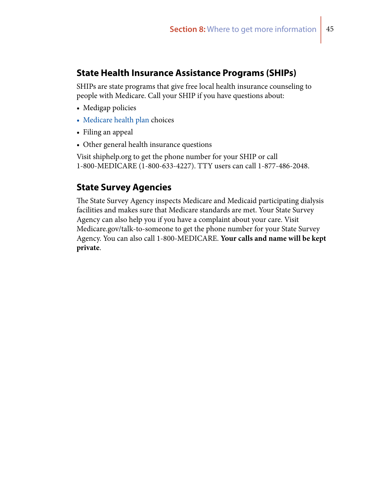#### <span id="page-44-0"></span>**State Health Insurance Assistance Programs (SHIPs)**

SHIPs are state programs that give free local health insurance counseling to people with Medicare. Call your SHIP if you have questions about:

- Medigap policies
- [Medicare health plan](#page-48-1) choices
- Filing an appeal
- Other general health insurance questions

Visit [shiphelp.org](https://www.shiphelp.org/) to get the phone number for your SHIP or call 1-800-MEDICARE (1-800-633-4227). TTY users can call 1-877-486-2048.

#### **State Survey Agencies**

The State Survey Agency inspects Medicare and Medicaid participating dialysis facilities and makes sure that Medicare standards are met. Your State Survey Agency can also help you if you have a complaint about your care. Visit [Medicare.gov/talk-to-someone](http://Medicare.gov/talk-to-someone) to get the phone number for your State Survey Agency. You can also call 1-800-MEDICARE. **Your calls and name will be kept private**.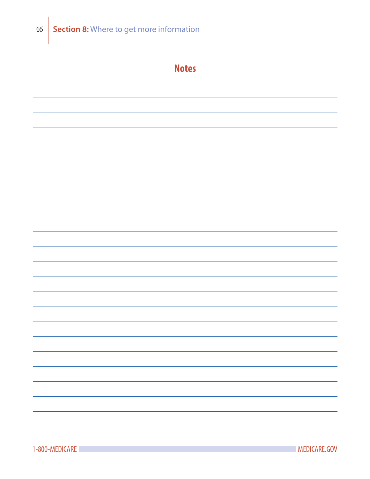#### **Notes**

1-800-MEDICARE MEDICARE MEDICARE MEDICARE.GOV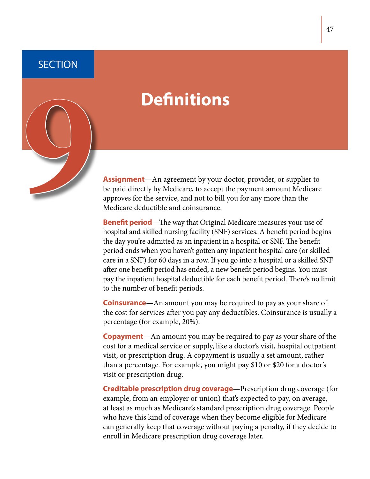#### <span id="page-46-0"></span>**SECTION**

<span id="page-46-5"></span>**Assignment**—An agreement by your doctor, provider, or supplier to be paid directly by Medicare, to accept the payment amount Medicare approves for the service, and not to bill you for any more than the Medicare deductible and coinsurance.

<span id="page-46-4"></span>**Benefit period**—The way that Original Medicare measures your use of hospital and skilled nursing facility (SNF) services. A benefit period begins the day you're admitted as an inpatient in a hospital or SNF. The benefit period ends when you haven't gotten any inpatient hospital care (or skilled care in a SNF) for 60 days in a row. If you go into a hospital or a skilled SNF after one benefit period has ended, a new benefit period begins. You must pay the inpatient hospital deductible for each benefit period. There's no limit to the number of benefit periods.

<span id="page-46-1"></span>**Coinsurance**—An amount you may be required to pay as your share of the cost for services after you pay any deductibles. Coinsurance is usually a percentage (for example, 20%).

<span id="page-46-2"></span>**Copayment**—An amount you may be required to pay as your share of the cost for a medical service or supply, like a doctor's visit, hospital outpatient visit, or prescription drug. A copayment is usually a set amount, rather than a percentage. For example, you might pay \$10 or \$20 for a doctor's visit or prescription drug.

<span id="page-46-3"></span>**Creditable prescription drug coverage**—Prescription drug coverage (for example, from an employer or union) that's expected to pay, on average, at least as much as Medicare's standard prescription drug coverage. People who have this kind of coverage when they become eligible for Medicare can generally keep that coverage without paying a penalty, if they decide to enroll in Medicare prescription drug coverage later.

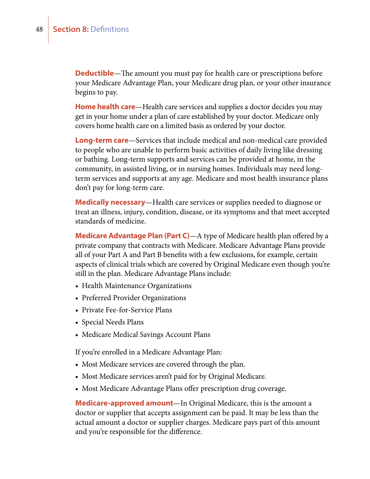<span id="page-47-2"></span>**Deductible**—The amount you must pay for health care or prescriptions before your Medicare Advantage Plan, your Medicare drug plan, or your other insurance begins to pay.

<span id="page-47-0"></span>**Home health care**—Health care services and supplies a doctor decides you may get in your home under a plan of care established by your doctor. Medicare only covers home health care on a limited basis as ordered by your doctor.

**Long-term care**—Services that include medical and non-medical care provided to people who are unable to perform basic activities of daily living like dressing or bathing. Long-term supports and services can be provided at home, in the community, in assisted living, or in nursing homes. Individuals may need longterm services and supports at any age. Medicare and most health insurance plans don't pay for long-term care.

<span id="page-47-3"></span>**Medically necessary**—Health care services or supplies needed to diagnose or treat an illness, injury, condition, disease, or its symptoms and that meet accepted standards of medicine.

<span id="page-47-1"></span>**Medicare Advantage Plan (Part C)**—A type of Medicare health plan offered by a private company that contracts with Medicare. Medicare Advantage Plans provide all of your Part A and Part B benefits with a few exclusions, for example, certain aspects of clinical trials which are covered by Original Medicare even though you're still in the plan. Medicare Advantage Plans include:

- Health Maintenance Organizations
- Preferred Provider Organizations
- Private Fee-for-Service Plans
- Special Needs Plans
- Medicare Medical Savings Account Plans

If you're enrolled in a Medicare Advantage Plan:

- Most Medicare services are covered through the plan.
- Most Medicare services aren't paid for by Original Medicare.
- Most Medicare Advantage Plans offer prescription drug coverage.

<span id="page-47-4"></span>**Medicare-approved amount**—In Original Medicare, this is the amount a doctor or supplier that accepts assignment can be paid. It may be less than the actual amount a doctor or supplier charges. Medicare pays part of this amount and you're responsible for the difference.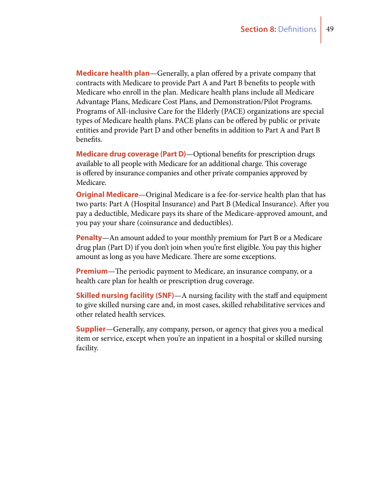<span id="page-48-1"></span>**Medicare health plan**—Generally, a plan offered by a private company that contracts with Medicare to provide Part A and Part B benefits to people with Medicare who enroll in the plan. Medicare health plans include all Medicare Advantage Plans, Medicare Cost Plans, and Demonstration/Pilot Programs. Programs of All-inclusive Care for the Elderly (PACE) organizations are special types of Medicare health plans. PACE plans can be offered by public or private entities and provide Part D and other benefits in addition to Part A and Part B benefits.

<span id="page-48-4"></span>**Medicare drug coverage (Part D)**—Optional benefits for prescription drugs available to all people with Medicare for an additional charge. This coverage is offered by insurance companies and other private companies approved by Medicare.

<span id="page-48-0"></span>**Original Medicare**—Original Medicare is a fee-for-service health plan that has two parts: Part A (Hospital Insurance) and Part B (Medical Insurance). After you pay a deductible, Medicare pays its share of the Medicare-approved amount, and you pay your share (coinsurance and deductibles).

<span id="page-48-5"></span>**Penalty**—An amount added to your monthly premium for Part B or a Medicare drug plan (Part D) if you don't join when you're first eligible. You pay this higher amount as long as you have Medicare. There are some exceptions.

<span id="page-48-2"></span>**Premium**—The periodic payment to Medicare, an insurance company, or a health care plan for health or prescription drug coverage.

<span id="page-48-6"></span>**Skilled nursing facility (SNF)**—A nursing facility with the staff and equipment to give skilled nursing care and, in most cases, skilled rehabilitative services and other related health services.

<span id="page-48-3"></span>**Supplier**—Generally, any company, person, or agency that gives you a medical item or service, except when you're an inpatient in a hospital or skilled nursing facility.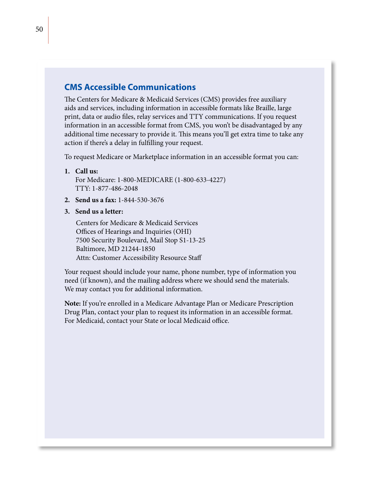#### **CMS Accessible Communications**

The Centers for Medicare & Medicaid Services (CMS) provides free auxiliary aids and services, including information in accessible formats like Braille, large print, data or audio files, relay services and TTY communications. If you request information in an accessible format from CMS, you won't be disadvantaged by any additional time necessary to provide it. This means you'll get extra time to take any action if there's a delay in fulfilling your request.

To request Medicare or Marketplace information in an accessible format you can:

**1. Call us:** For Medicare: 1-800-MEDICARE (1-800-633-4227) TTY: 1-877-486-2048

- **2. Send us a fax:** 1-844-530-3676
- **3. Send us a letter:**

Centers for Medicare & Medicaid Services Offices of Hearings and Inquiries (OHI) 7500 Security Boulevard, Mail Stop S1-13-25 Baltimore, MD 21244-1850 Attn: Customer Accessibility Resource Staff

Your request should include your name, phone number, type of information you need (if known), and the mailing address where we should send the materials. We may contact you for additional information.

**Note:** If you're enrolled in a Medicare Advantage Plan or Medicare Prescription Drug Plan, contact your plan to request its information in an accessible format. For Medicaid, contact your State or local Medicaid office.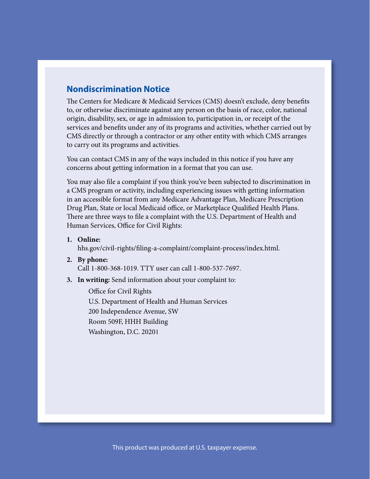#### **Nondiscrimination Notice**

The Centers for Medicare & Medicaid Services (CMS) doesn't exclude, deny benefits to, or otherwise discriminate against any person on the basis of race, color, national origin, disability, sex, or age in admission to, participation in, or receipt of the services and benefits under any of its programs and activities, whether carried out by CMS directly or through a contractor or any other entity with which CMS arranges to carry out its programs and activities.

You can contact CMS in any of the ways included in this notice if you have any concerns about getting information in a format that you can use.

You may also file a complaint if you think you've been subjected to discrimination in a CMS program or activity, including experiencing issues with getting information in an accessible format from any Medicare Advantage Plan, Medicare Prescription Drug Plan, State or local Medicaid office, or Marketplace Qualified Health Plans. There are three ways to file a complaint with the U.S. Department of Health and Human Services, Office for Civil Rights:

**1. Online:**

[hhs.gov/civil-rights/filing-a-complaint/complaint-process/index.html.](http://hhs.gov/civil-rights/filing-a-complaint/complaint-process/index.html)

**2. By phone:**

Call 1-800-368-1019. TTY user can call 1-800-537-7697.

**3. In writing:** Send information about your complaint to:

Office for Civil Rights U.S. Department of Health and Human Services 200 Independence Avenue, SW Room 509F, HHH Building Washington, D.C. 20201